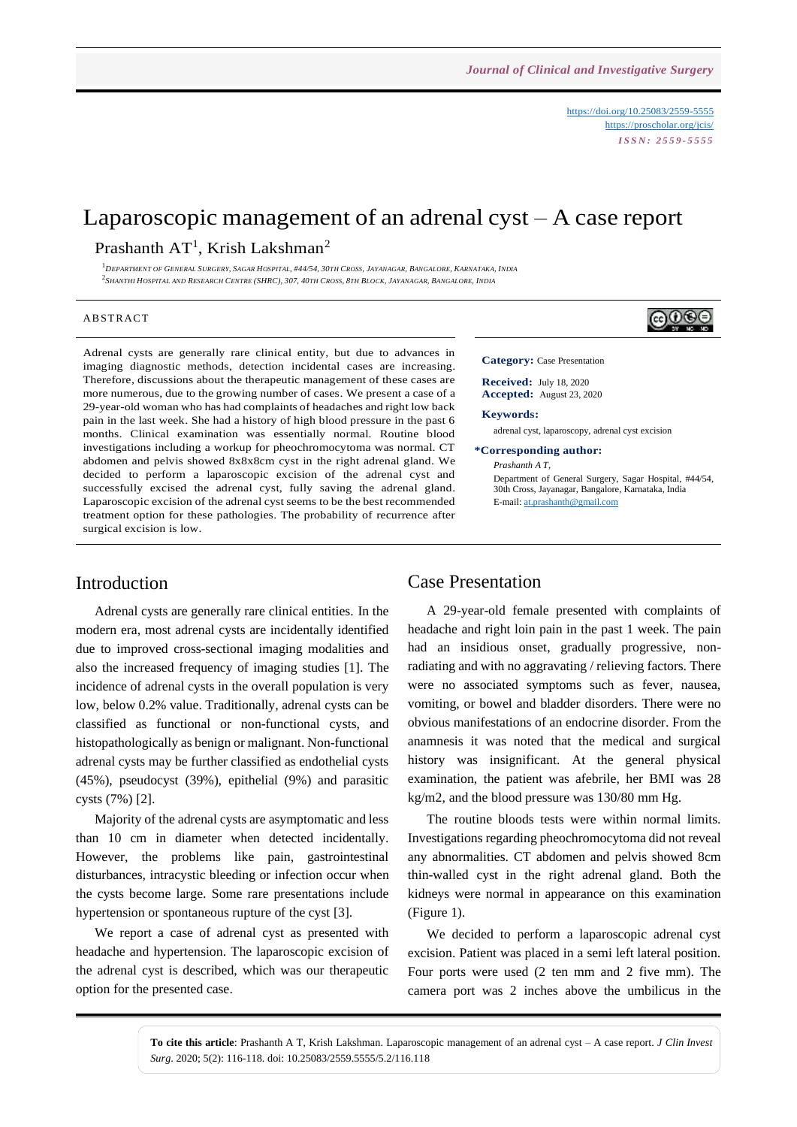<https://doi.org/10.25083/2559-5555> <https://proscholar.org/jcis/> *I S S N : 2 5 5 9 - 5 5 5 5*

# Laparoscopic management of an adrenal cyst – A case report

## Prashanth  $AT^1$ , Krish Lakshman<sup>2</sup>

 $1$ DEPARTMENT OF GENERAL SURGERY, SAGAR HOSPITAL, #44/54, 30TH CROSS, JAYANAGAR, BANGALORE, KARNATAKA, INDIA <sup>2</sup>Shanthi Hospital and Research Centre (SHRC), 307, 40th Cross, 8th Block, Jayanagar, Bangalore, India

#### A B STR ACT

Adrenal cysts are generally rare clinical entity, but due to advances in imaging diagnostic methods, detection incidental cases are increasing. Therefore, discussions about the therapeutic management of these cases are more numerous, due to the growing number of cases. We present a case of a 29-year-old woman who has had complaints of headaches and right low back pain in the last week. She had a history of high blood pressure in the past 6 months. Clinical examination was essentially normal. Routine blood investigations including a workup for pheochromocytoma was normal. CT abdomen and pelvis showed 8x8x8cm cyst in the right adrenal gland. We decided to perform a laparoscopic excision of the adrenal cyst and successfully excised the adrenal cyst, fully saving the adrenal gland. Laparoscopic excision of the adrenal cyst seems to be the best recommended treatment option for these pathologies. The probability of recurrence after surgical excision is low.

### **Category:** Case Presentation

**Received:** July 18, 2020 **Accepted:** August 23, 2020

#### **Keywords:**

adrenal cyst, laparoscopy, adrenal cyst excision

### **\*Corresponding author:**

*Prashanth A T*, Department of General Surgery, Sagar Hospital, #44/54, 30th Cross, Jayanagar, Bangalore, Karnataka, India E-mail[: at.prashanth@gmail.com](mailto:at.prashanth@gmail.com)

## Introduction

Adrenal cysts are generally rare clinical entities. In the modern era, most adrenal cysts are incidentally identified due to improved cross-sectional imaging modalities and also the increased frequency of imaging studies [1]. The incidence of adrenal cysts in the overall population is very low, below 0.2% value. Traditionally, adrenal cysts can be classified as functional or non-functional cysts, and histopathologically as benign or malignant. Non-functional adrenal cysts may be further classified as endothelial cysts (45%), pseudocyst (39%), epithelial (9%) and parasitic cysts (7%) [2].

Majority of the adrenal cysts are asymptomatic and less than 10 cm in diameter when detected incidentally. However, the problems like pain, gastrointestinal disturbances, intracystic bleeding or infection occur when the cysts become large. Some rare presentations include hypertension or spontaneous rupture of the cyst [3].

We report a case of adrenal cyst as presented with headache and hypertension. The laparoscopic excision of the adrenal cyst is described, which was our therapeutic option for the presented case.

### Case Presentation

A 29-year-old female presented with complaints of headache and right loin pain in the past 1 week. The pain had an insidious onset, gradually progressive, nonradiating and with no aggravating / relieving factors. There were no associated symptoms such as fever, nausea, vomiting, or bowel and bladder disorders. There were no obvious manifestations of an endocrine disorder. From the anamnesis it was noted that the medical and surgical history was insignificant. At the general physical examination, the patient was afebrile, her BMI was 28 kg/m2, and the blood pressure was 130/80 mm Hg.

The routine bloods tests were within normal limits. Investigations regarding pheochromocytoma did not reveal any abnormalities. CT abdomen and pelvis showed 8cm thin-walled cyst in the right adrenal gland. Both the kidneys were normal in appearance on this examination (Figure 1).

We decided to perform a laparoscopic adrenal cyst excision. Patient was placed in a semi left lateral position. Four ports were used (2 ten mm and 2 five mm). The camera port was 2 inches above the umbilicus in the

**To cite this article**: Prashanth A T, Krish Lakshman. Laparoscopic management of an adrenal cyst – A case report. *J Clin Invest Surg*. 2020; 5(2): 116-118. doi: 10.25083/2559.5555/5.2/116.118

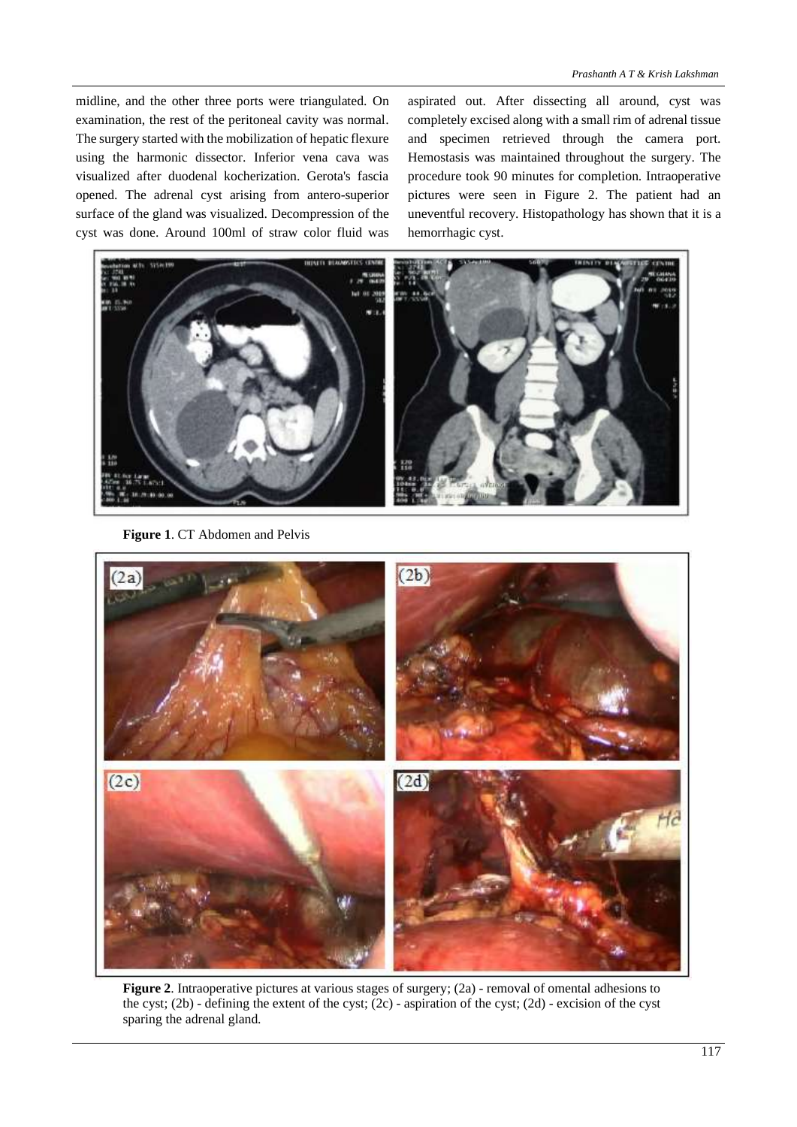midline, and the other three ports were triangulated. On examination, the rest of the peritoneal cavity was normal. The surgery started with the mobilization of hepatic flexure using the harmonic dissector. Inferior vena cava was visualized after duodenal kocherization. Gerota's fascia opened. The adrenal cyst arising from antero-superior surface of the gland was visualized. Decompression of the cyst was done. Around 100ml of straw color fluid was

aspirated out. After dissecting all around, cyst was completely excised along with a small rim of adrenal tissue and specimen retrieved through the camera port. Hemostasis was maintained throughout the surgery. The procedure took 90 minutes for completion. Intraoperative pictures were seen in Figure 2. The patient had an uneventful recovery. Histopathology has shown that it is a hemorrhagic cyst.



**Figure 1**. CT Abdomen and Pelvis



**Figure 2**. Intraoperative pictures at various stages of surgery; (2a) - removal of omental adhesions to the cyst; (2b) - defining the extent of the cyst; (2c) - aspiration of the cyst; (2d) - excision of the cyst sparing the adrenal gland.